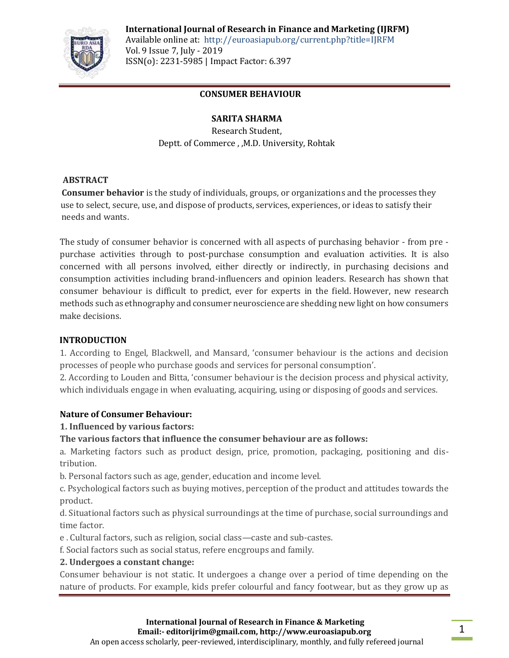

**International Journal of Research in Finance and Marketing (IJRFM)** Available online at: http://euroasiapub.org/current.php?title=IJRFM

Vol. 9 Issue 7, July - 2019 ISSN(o): 2231-5985 | Impact Factor: 6.397

# **CONSUMER BEHAVIOUR**

# **SARITA SHARMA**

Research Student, Deptt. of Commerce , ,M.D. University, Rohtak

# **ABSTRACT**

 **Consumer behavior** is the study of individuals, groups, or organizations and the processes they use to select, secure, use, and dispose of products, services, experiences, or ideas to satisfy their needs and wants.

The study of consumer behavior is concerned with all aspects of purchasing behavior - from pre purchase activities through to post-purchase consumption and evaluation activities. It is also concerned with all persons involved, either directly or indirectly, in purchasing decisions and consumption activities including brand-influencers and opinion leaders. Research has shown that consumer behaviour is difficult to predict, ever for experts in the field. However, new research methods such as ethnography and consumer neuroscience are shedding new light on how consumers make decisions.

### **INTRODUCTION**

1. According to Engel, Blackwell, and Mansard, 'consumer behaviour is the actions and decision processes of people who purchase goods and services for personal consumption'.

2. According to Louden and Bitta, 'consumer behaviour is the decision process and physical activity, which individuals engage in when evaluating, acquiring, using or disposing of goods and services.

### **Nature of Consumer Behaviour:**

# **1. Influenced by various factors:**

# **The various factors that influence the consumer behaviour are as follows:**

a. Marketing factors such as product design, price, promotion, packaging, positioning and distribution.

b. Personal factors such as age, gender, education and income level.

c. Psychological factors such as buying motives, perception of the product and attitudes towards the product.

d. Situational factors such as physical surroundings at the time of purchase, social surroundings and time factor.

e . Cultural factors, such as religion, social class—caste and sub-castes.

f. Social factors such as social status, refere encgroups and family.

### **2. Undergoes a constant change:**

Consumer behaviour is not static. It undergoes a change over a period of time depending on the nature of products. For example, kids prefer colourful and fancy footwear, but as they grow up as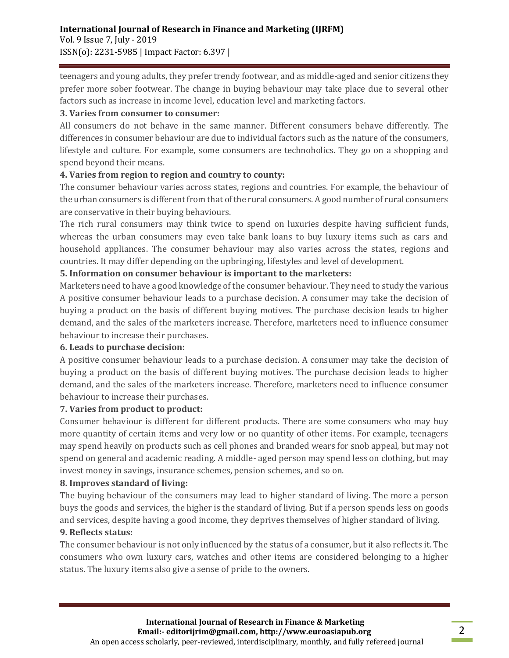teenagers and young adults, they prefer trendy footwear, and as middle-aged and senior citizens they prefer more sober footwear. The change in buying behaviour may take place due to several other factors such as increase in income level, education level and marketing factors.

### **3. Varies from consumer to consumer:**

All consumers do not behave in the same manner. Different consumers behave differently. The differences in consumer behaviour are due to individual factors such as the nature of the consumers, lifestyle and culture. For example, some consumers are technoholics. They go on a shopping and spend beyond their means.

#### **4. Varies from region to region and country to county:**

The consumer behaviour varies across states, regions and countries. For example, the behaviour of the urban consumers is different from that of the rural consumers. A good number of rural consumers are conservative in their buying behaviours.

The rich rural consumers may think twice to spend on luxuries despite having sufficient funds, whereas the urban consumers may even take bank loans to buy luxury items such as cars and household appliances. The consumer behaviour may also varies across the states, regions and countries. It may differ depending on the upbringing, lifestyles and level of development.

### **5. Information on consumer behaviour is important to the marketers:**

Marketers need to have a good knowledge of the consumer behaviour. They need to study the various A positive consumer behaviour leads to a purchase decision. A consumer may take the decision of buying a product on the basis of different buying motives. The purchase decision leads to higher demand, and the sales of the marketers increase. Therefore, marketers need to influence consumer behaviour to increase their purchases.

### **6. Leads to purchase decision:**

A positive consumer behaviour leads to a purchase decision. A consumer may take the decision of buying a product on the basis of different buying motives. The purchase decision leads to higher demand, and the sales of the marketers increase. Therefore, marketers need to influence consumer behaviour to increase their purchases.

### **7. Varies from product to product:**

Consumer behaviour is different for different products. There are some consumers who may buy more quantity of certain items and very low or no quantity of other items. For example, teenagers may spend heavily on products such as cell phones and branded wears for snob appeal, but may not spend on general and academic reading. A middle- aged person may spend less on clothing, but may invest money in savings, insurance schemes, pension schemes, and so on.

### **8. Improves standard of living:**

The buying behaviour of the consumers may lead to higher standard of living. The more a person buys the goods and services, the higher is the standard of living. But if a person spends less on goods and services, despite having a good income, they deprives themselves of higher standard of living.

#### **9. Reflects status:**

The consumer behaviour is not only influenced by the status of a consumer, but it also reflects it. The consumers who own luxury cars, watches and other items are considered belonging to a higher status. The luxury items also give a sense of pride to the owners.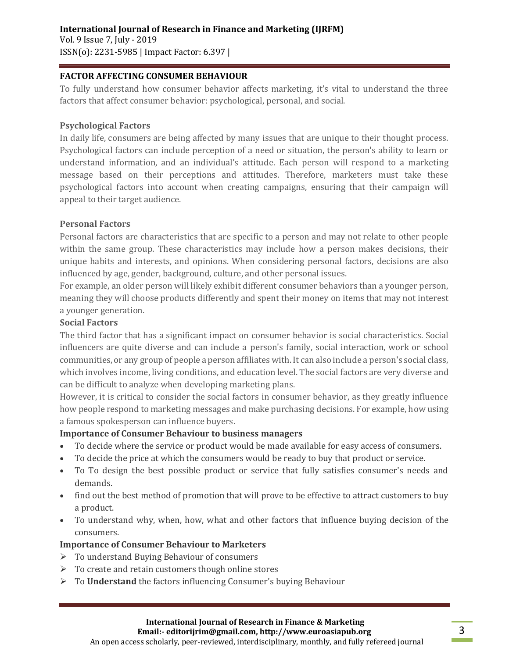### **International Journal of Research in Finance and Marketing (IJRFM)**  Vol. 9 Issue 7, July - 2019 ISSN(o): 2231-5985 | Impact Factor: 6.397 |

#### **FACTOR AFFECTING CONSUMER BEHAVIOUR**

To fully understand how consumer behavior affects marketing, it's vital to understand the three factors that affect consumer behavior: psychological, personal, and social.

#### **Psychological Factors**

In daily life, consumers are being affected by many issues that are unique to their thought process. Psychological factors can include perception of a need or situation, the person's ability to learn or understand information, and an individual's attitude. Each person will respond to a marketing message based on their perceptions and attitudes. Therefore, marketers must take these psychological factors into account when creating campaigns, ensuring that their campaign will appeal to their target audience.

#### **Personal Factors**

Personal factors are characteristics that are specific to a person and may not relate to other people within the same group. These characteristics may include how a person makes decisions, their unique habits and interests, and opinions. When considering personal factors, decisions are also influenced by age, gender, background, culture, and other personal issues.

For example, an older person will likely exhibit different consumer behaviors than a younger person, meaning they will choose products differently and spent their money on items that may not interest a younger generation.

#### **Social Factors**

The third factor that has a significant impact on consumer behavior is social characteristics. Social influencers are quite diverse and can include a person's family, social interaction, work or school communities, or any group of people a person affiliates with. It can also include a person's social class, which involves income, living conditions, and education level. The social factors are very diverse and can be difficult to analyze when developing marketing plans.

However, it is critical to consider the social factors in consumer behavior, as they greatly influence how people respond to marketing messages and make purchasing decisions. For example, how using a famous spokesperson can influence buyers.

### **Importance of Consumer Behaviour to business managers**

- To decide where the service or product would be made available for easy access of consumers.
- To decide the price at which the consumers would be ready to buy that product or service.
- To To design the best possible product or service that fully satisfies consumer's needs and demands.
- find out the best method of promotion that will prove to be effective to attract customers to buy a product.
- To understand why, when, how, what and other factors that influence buying decision of the consumers.

### **Importance of Consumer Behaviour to Marketers**

- To understand Buying Behaviour of consumers
- $\triangleright$  To create and retain customers though online stores
- To **Understand** the factors influencing Consumer's buying Behaviour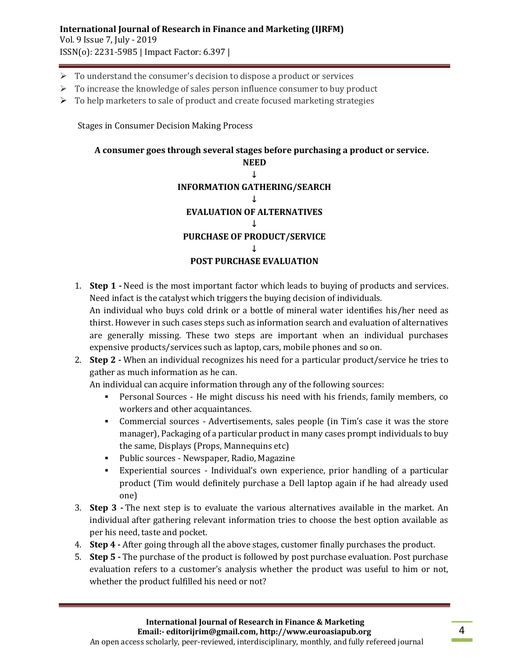# **International Journal of Research in Finance and Marketing (IJRFM)**

Vol. 9 Issue 7, July - 2019 ISSN(o): 2231-5985 | Impact Factor: 6.397 |

- $\triangleright$  To understand the consumer's decision to dispose a product or services
- $\triangleright$  To increase the knowledge of sales person influence consumer to buy product
- $\triangleright$  To help marketers to sale of product and create focused marketing strategies

Stages in Consumer Decision Making Process

# **A consumer goes through several stages before purchasing a product or service.**



- 1. **Step 1 -** Need is the most important factor which leads to buying of products and services. Need infact is the catalyst which triggers the buying decision of individuals. An individual who buys cold drink or a bottle of mineral water identifies his/her need as thirst. However in such cases steps such as information search and evaluation of alternatives are generally missing. These two steps are important when an individual purchases expensive products/services such as laptop, cars, mobile phones and so on.
- 2. **Step 2 -** When an individual recognizes his need for a particular product/service he tries to gather as much information as he can.

An individual can acquire information through any of the following sources:

- Personal Sources He might discuss his need with his friends, family members, co workers and other acquaintances.
- Commercial sources Advertisements, sales people (in Tim's case it was the store manager), Packaging of a particular product in many cases prompt individuals to buy the same, Displays (Props, Mannequins etc)
- Public sources Newspaper, Radio, Magazine
- Experiential sources Individual's own experience, prior handling of a particular product (Tim would definitely purchase a Dell laptop again if he had already used one)
- 3. **Step 3 -** The next step is to evaluate the various alternatives available in the market. An individual after gathering relevant information tries to choose the best option available as per his need, taste and pocket.
- 4. **Step 4 -** After going through all the above stages, customer finally purchases the product.
- 5. **Step 5 -** The purchase of the product is followed by post purchase evaluation. Post purchase evaluation refers to a customer's analysis whether the product was useful to him or not, whether the product fulfilled his need or not?